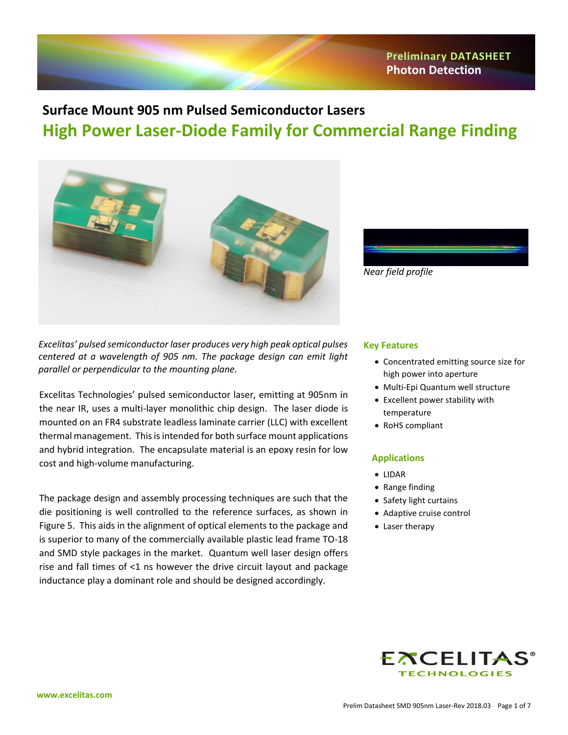# **Surface Mount 905 nm Pulsed Semiconductor Lasers High Power Laser-Diode Family for Commercial Range Finding**





*Excelitas' pulsed semiconductor laser produces very high peak optical pulses centered at a wavelength of 905 nm. The package design can emit light parallel or perpendicular to the mounting plane.*

Excelitas Technologies' pulsed semiconductor laser, emitting at 905nm in the near IR, uses a multi-layer monolithic chip design. The laser diode is mounted on an FR4 substrate leadless laminate carrier (LLC) with excellent thermal management. This is intended for both surface mount applications and hybrid integration. The encapsulate material is an epoxy resin for low cost and high-volume manufacturing.

The package design and assembly processing techniques are such that the die positioning is well controlled to the reference surfaces, as shown in Figure 5. This aids in the alignment of optical elements to the package and is superior to many of the commercially available plastic lead frame TO-18 and SMD style packages in the market. Quantum well laser design offers rise and fall times of <1 ns however the drive circuit layout and package inductance play a dominant role and should be designed accordingly.

#### **Key Features**

- Concentrated emitting source size for high power into aperture
- Multi-Epi Quantum well structure
- Excellent power stability with temperature
- RoHS compliant

#### **Applications**

- LIDAR
- Range finding
- Safety light curtains
- Adaptive cruise control
- Laser therapy

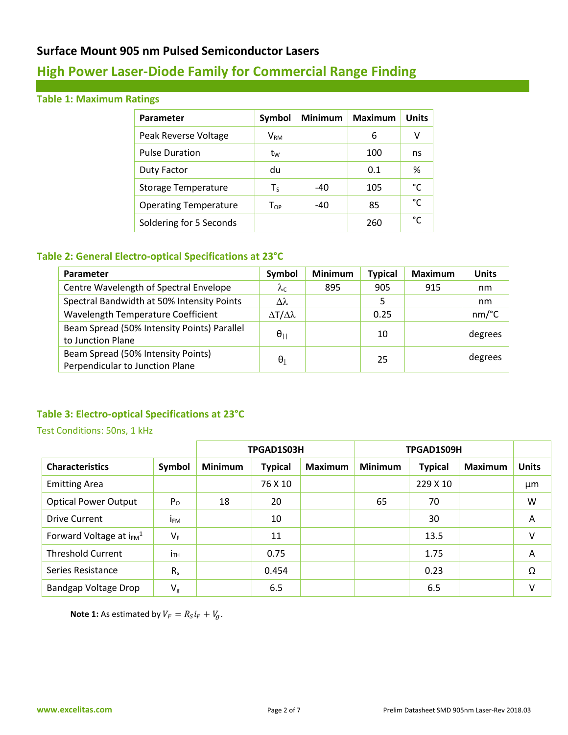# **High Power Laser-Diode Family for Commercial Range Finding**

## **Table 1: Maximum Ratings**

| Parameter                    | Symbol                   | <b>Minimum</b> | <b>Maximum</b> | <b>Units</b> |
|------------------------------|--------------------------|----------------|----------------|--------------|
| Peak Reverse Voltage         | $\mathsf{V}_\mathsf{RM}$ |                | 6              | v            |
| <b>Pulse Duration</b>        | tw                       |                | 100            | ns           |
| <b>Duty Factor</b>           | du                       |                | 0.1            | %            |
| <b>Storage Temperature</b>   | Ts                       | $-40$          | 105            | °C           |
| <b>Operating Temperature</b> | Top                      | $-40$          | 85             | °€           |
| Soldering for 5 Seconds      |                          |                | 260            | °C           |

## **Table 2: General Electro-optical Specifications at 23°C**

| Parameter                                   | Symbol                    | <b>Minimum</b> | <b>Typical</b> | <b>Maximum</b> | <b>Units</b>                         |
|---------------------------------------------|---------------------------|----------------|----------------|----------------|--------------------------------------|
| Centre Wavelength of Spectral Envelope      | $\lambda_{\mathsf C}$     | 895            | 905            | 915            | nm                                   |
| Spectral Bandwidth at 50% Intensity Points  | $\lambda\lambda$          |                | 5              |                | nm                                   |
| Wavelength Temperature Coefficient          | $\Delta T/\Delta \lambda$ |                | 0.25           |                | $nm$ <sup><math>\circ</math></sup> C |
| Beam Spread (50% Intensity Points) Parallel |                           |                | 10             |                |                                      |
| to Junction Plane                           | $\theta_{11}$             |                |                |                | degrees                              |
| Beam Spread (50% Intensity Points)          | $\theta_1$                |                | 25             |                | degrees                              |
| Perpendicular to Junction Plane             |                           |                |                |                |                                      |

## **Table 3: Electro-optical Specifications at 23°C**

#### Test Conditions: 50ns, 1 kHz

|                                          |                 | TPGAD1S03H     |                |                | TPGAD1S09H     |                |                |              |
|------------------------------------------|-----------------|----------------|----------------|----------------|----------------|----------------|----------------|--------------|
| <b>Characteristics</b>                   | Symbol          | <b>Minimum</b> | <b>Typical</b> | <b>Maximum</b> | <b>Minimum</b> | <b>Typical</b> | <b>Maximum</b> | <b>Units</b> |
| <b>Emitting Area</b>                     |                 |                | 76 X 10        |                |                | 229 X 10       |                | μm           |
| <b>Optical Power Output</b>              | P <sub>O</sub>  | 18             | 20             |                | 65             | 70             |                | W            |
| Drive Current                            | İ <sub>FM</sub> |                | 10             |                |                | 30             |                | A            |
| Forward Voltage at $i_{FM}$ <sup>1</sup> | $V_F$           |                | 11             |                |                | 13.5           |                | $\vee$       |
| <b>Threshold Current</b>                 | ітн             |                | 0.75           |                |                | 1.75           |                | A            |
| Series Resistance                        | R <sub>s</sub>  |                | 0.454          |                |                | 0.23           |                | Ω            |
| <b>Bandgap Voltage Drop</b>              | $V_{\rm g}$     |                | 6.5            |                |                | 6.5            |                | v            |

**Note 1:** As estimated by  $V_F = R_S i_F + V_g$ .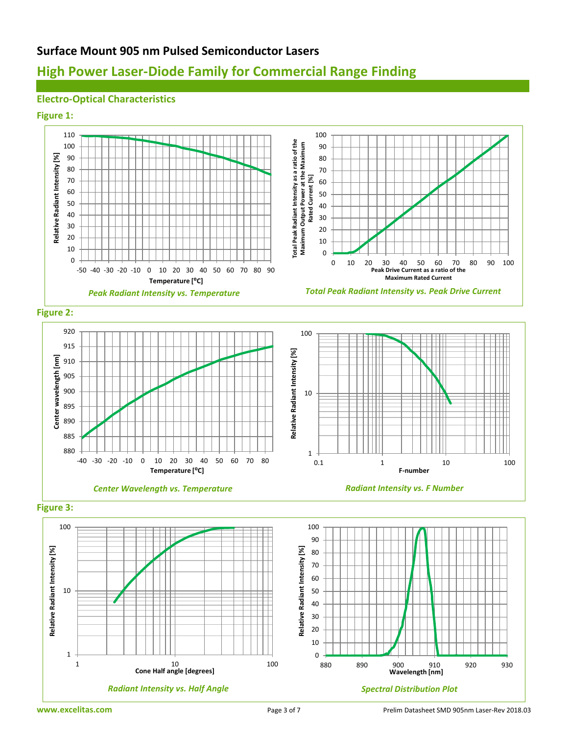# **High Power Laser-Diode Family for Commercial Range Finding**

## **Electro-Optical Characteristics**

#### **Figure 1:**

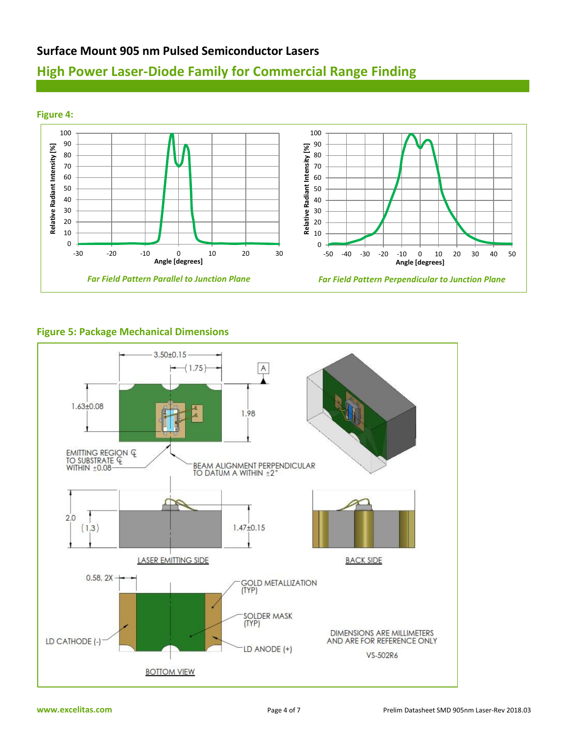# **High Power Laser-Diode Family for Commercial Range Finding**



### **Figure 5: Package Mechanical Dimensions**

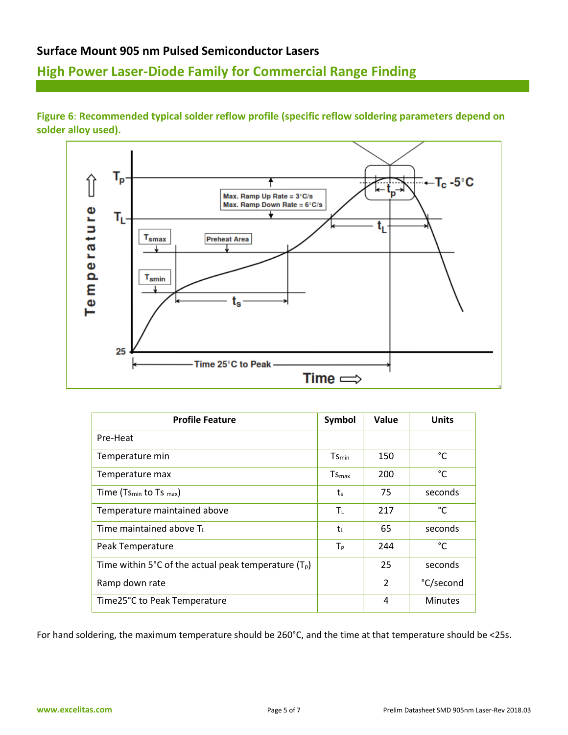# **High Power Laser-Diode Family for Commercial Range Finding**



**Figure 6**: **Recommended typical solder reflow profile (specific reflow soldering parameters depend on solder alloy used).**

| <b>Profile Feature</b>                                | Symbol                  | Value          | <b>Units</b>   |
|-------------------------------------------------------|-------------------------|----------------|----------------|
| Pre-Heat                                              |                         |                |                |
| Temperature min                                       | $Ts_{\text{min}}$       | 150            | °C             |
| Temperature max                                       | $T_{\mathsf{Smax}}$     | 200            | °C             |
| Time (Ts <sub>min</sub> to Ts $_{max}$ )              | $t_s$                   | 75             | seconds        |
| Temperature maintained above                          | $\mathsf{T}_\mathsf{L}$ | 217            | °C             |
| Time maintained above $T_L$                           | tı.                     | 65             | seconds        |
| Peak Temperature                                      | $T_{P}$                 | 244            | °C             |
| Time within 5°C of the actual peak temperature $(T0)$ |                         | 25             | seconds        |
| Ramp down rate                                        |                         | $\overline{2}$ | °C/second      |
| Time25°C to Peak Temperature                          |                         | 4              | <b>Minutes</b> |

For hand soldering, the maximum temperature should be 260°C, and the time at that temperature should be <25s.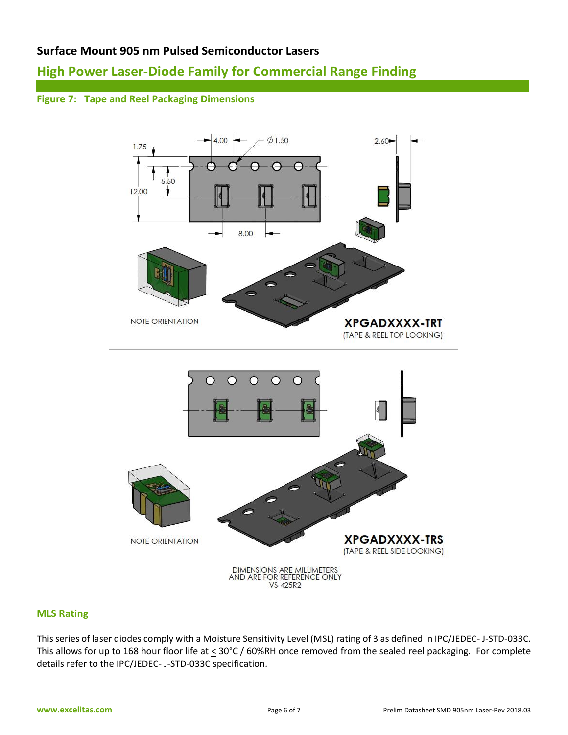# **High Power Laser-Diode Family for Commercial Range Finding**

## **Figure 7: Tape and Reel Packaging Dimensions**



### **MLS Rating**

This series of laser diodes comply with a Moisture Sensitivity Level (MSL) rating of 3 as defined in IPC/JEDEC- J-STD-033C. This allows for up to 168 hour floor life at < 30°C / 60%RH once removed from the sealed reel packaging. For complete details refer to the IPC/JEDEC- J-STD-033C specification.